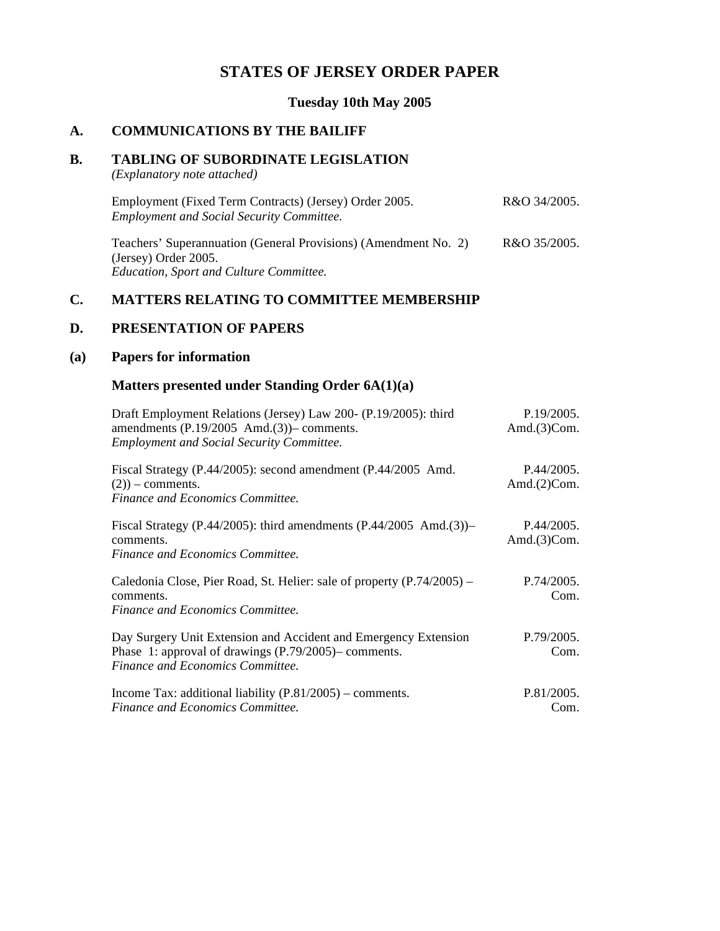## **STATES OF JERSEY ORDER PAPER**

## **Tuesday 10th May 2005**

### **A. COMMUNICATIONS BY THE BAILIFF**

#### **B. TABLING OF SUBORDINATE LEGISLATION**

*(Explanatory note attached)*

| Employment (Fixed Term Contracts) (Jersey) Order 2005.                                  | R&O 34/2005. |
|-----------------------------------------------------------------------------------------|--------------|
| <b>Employment and Social Security Committee.</b>                                        |              |
| Teachers' Superannuation (General Provisions) (Amendment No. 2)<br>(Jersey) Order 2005. | R&O 35/2005. |

*Education, Sport and Culture Committee.*

## **C. MATTERS RELATING TO COMMITTEE MEMBERSHIP**

## **D. PRESENTATION OF PAPERS**

## **(a) Papers for information**

## **Matters presented under Standing Order 6A(1)(a)**

| Draft Employment Relations (Jersey) Law 200- (P.19/2005): third<br>amendments $(P.19/2005 \text{ And.}(3))$ - comments.<br><b>Employment and Social Security Committee.</b> | P.19/2005.<br>Amd. $(3)$ Com. |
|-----------------------------------------------------------------------------------------------------------------------------------------------------------------------------|-------------------------------|
| Fiscal Strategy (P.44/2005): second amendment (P.44/2005 Amd.<br>$(2)$ ) – comments.<br>Finance and Economics Committee.                                                    | P.44/2005.<br>Amd. $(2)$ Com. |
| Fiscal Strategy (P.44/2005): third amendments (P.44/2005 Amd.(3))–<br>comments.<br>Finance and Economics Committee.                                                         | P.44/2005.<br>Amd. $(3)$ Com. |
| Caledonia Close, Pier Road, St. Helier: sale of property (P.74/2005) –<br>comments.<br>Finance and Economics Committee.                                                     | P.74/2005.<br>Com.            |
| Day Surgery Unit Extension and Accident and Emergency Extension<br>Phase 1: approval of drawings $(P.79/2005)$ - comments.<br>Finance and Economics Committee.              | P.79/2005.<br>Com.            |
| Income Tax: additional liability $(P.81/2005)$ – comments.<br>Finance and Economics Committee.                                                                              | P.81/2005.<br>Com.            |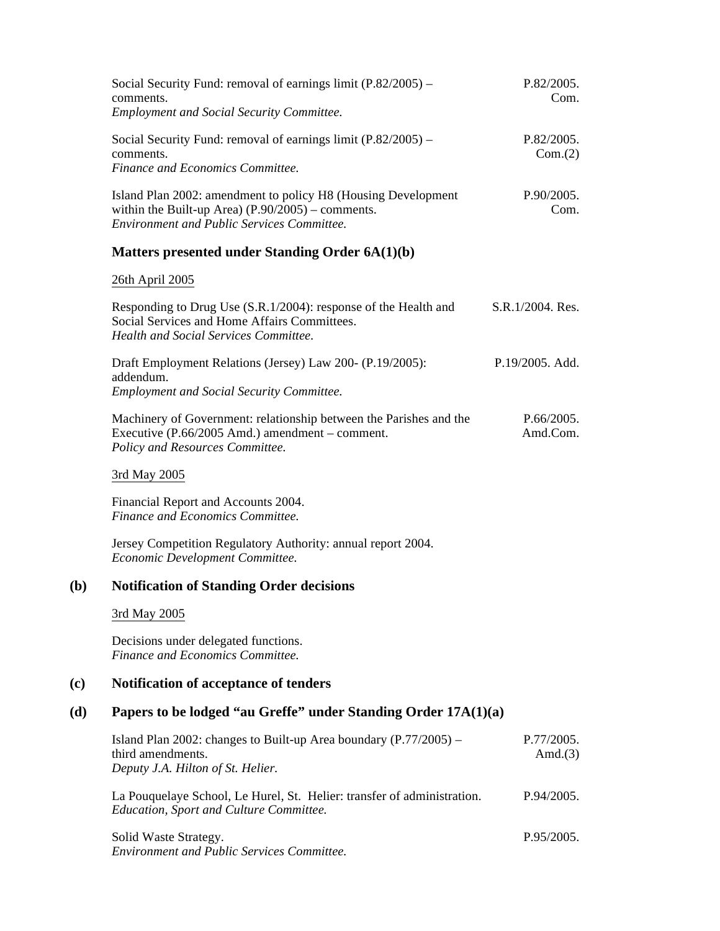|     | Social Security Fund: removal of earnings limit (P.82/2005) -<br>comments.                                                                                                | P.82/2005.<br>Com.       |
|-----|---------------------------------------------------------------------------------------------------------------------------------------------------------------------------|--------------------------|
|     | <b>Employment and Social Security Committee.</b>                                                                                                                          |                          |
|     | Social Security Fund: removal of earnings limit $(P.82/2005)$ –<br>comments.                                                                                              | P.82/2005.<br>Com.(2)    |
|     | Finance and Economics Committee.                                                                                                                                          |                          |
|     | Island Plan 2002: amendment to policy H8 (Housing Development<br>within the Built-up Area) $(P.90/2005)$ – comments.<br><b>Environment and Public Services Committee.</b> | P.90/2005.<br>Com.       |
|     | Matters presented under Standing Order 6A(1)(b)                                                                                                                           |                          |
|     | 26th April 2005                                                                                                                                                           |                          |
|     | Responding to Drug Use (S.R.1/2004): response of the Health and<br>Social Services and Home Affairs Committees.<br><b>Health and Social Services Committee.</b>           | S.R.1/2004. Res.         |
|     | Draft Employment Relations (Jersey) Law 200- (P.19/2005):<br>addendum.                                                                                                    | P.19/2005. Add.          |
|     | <b>Employment and Social Security Committee.</b>                                                                                                                          |                          |
|     | Machinery of Government: relationship between the Parishes and the<br>Executive (P.66/2005 Amd.) amendment – comment.<br>Policy and Resources Committee.                  | P.66/2005.<br>Amd.Com.   |
|     | 3rd May 2005                                                                                                                                                              |                          |
|     | Financial Report and Accounts 2004.<br>Finance and Economics Committee.                                                                                                   |                          |
|     | Jersey Competition Regulatory Authority: annual report 2004.<br>Economic Development Committee.                                                                           |                          |
| (b) | <b>Notification of Standing Order decisions</b>                                                                                                                           |                          |
|     | 3rd May 2005                                                                                                                                                              |                          |
|     | Decisions under delegated functions.<br>Finance and Economics Committee.                                                                                                  |                          |
| (c) | Notification of acceptance of tenders                                                                                                                                     |                          |
| (d) | Papers to be lodged "au Greffe" under Standing Order 17A(1)(a)                                                                                                            |                          |
|     | Island Plan 2002: changes to Built-up Area boundary $(P.77/2005)$ -<br>third amendments.<br>Deputy J.A. Hilton of St. Helier.                                             | P.77/2005.<br>Amd. $(3)$ |
|     | La Pouquelaye School, Le Hurel, St. Helier: transfer of administration.<br>Education, Sport and Culture Committee.                                                        | P.94/2005.               |
|     |                                                                                                                                                                           |                          |

Solid Waste Strategy. *Environment and Public Services Committee.* P.95/2005.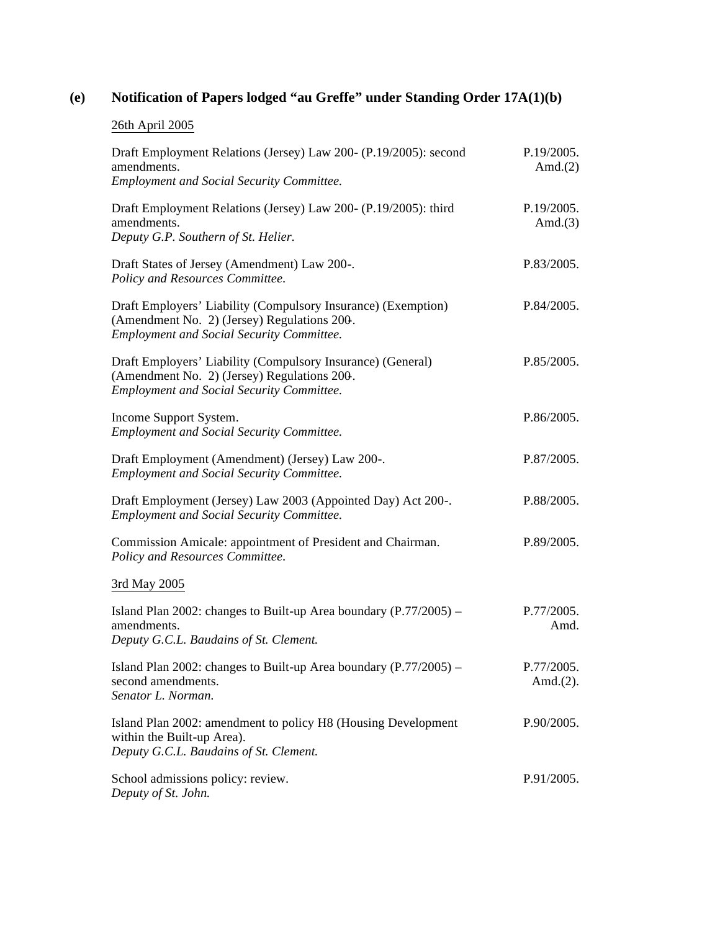# **(e) Notification of Papers lodged "au Greffe" under Standing Order 17A(1)(b)**

## 26th April 2005

| Draft Employment Relations (Jersey) Law 200- (P.19/2005): second<br>amendments.<br><b>Employment and Social Security Committee.</b>                            | P.19/2005.<br>Amd. $(2)$   |
|----------------------------------------------------------------------------------------------------------------------------------------------------------------|----------------------------|
| Draft Employment Relations (Jersey) Law 200- (P.19/2005): third<br>amendments.<br>Deputy G.P. Southern of St. Helier.                                          | P.19/2005.<br>Amd. $(3)$   |
| Draft States of Jersey (Amendment) Law 200-.<br>Policy and Resources Committee.                                                                                | P.83/2005.                 |
| Draft Employers' Liability (Compulsory Insurance) (Exemption)<br>(Amendment No. 2) (Jersey) Regulations 200.<br>Employment and Social Security Committee.      | P.84/2005.                 |
| Draft Employers' Liability (Compulsory Insurance) (General)<br>(Amendment No. 2) (Jersey) Regulations 200.<br><b>Employment and Social Security Committee.</b> | P.85/2005.                 |
| Income Support System.<br><b>Employment and Social Security Committee.</b>                                                                                     | P.86/2005.                 |
| Draft Employment (Amendment) (Jersey) Law 200-.<br><b>Employment and Social Security Committee.</b>                                                            | P.87/2005.                 |
| Draft Employment (Jersey) Law 2003 (Appointed Day) Act 200-.<br><b>Employment and Social Security Committee.</b>                                               | P.88/2005.                 |
| Commission Amicale: appointment of President and Chairman.<br>Policy and Resources Committee.                                                                  | P.89/2005.                 |
| 3rd May 2005                                                                                                                                                   |                            |
| Island Plan 2002: changes to Built-up Area boundary $(P.77/2005)$ -<br>amendments.<br>Deputy G.C.L. Baudains of St. Clement.                                   | P.77/2005.<br>Amd.         |
| Island Plan 2002: changes to Built-up Area boundary (P.77/2005) -<br>second amendments.<br>Senator L. Norman.                                                  | P.77/2005.<br>Amd. $(2)$ . |
| Island Plan 2002: amendment to policy H8 (Housing Development<br>within the Built-up Area).<br>Deputy G.C.L. Baudains of St. Clement.                          | P.90/2005.                 |
| School admissions policy: review.<br>Deputy of St. John.                                                                                                       | P.91/2005.                 |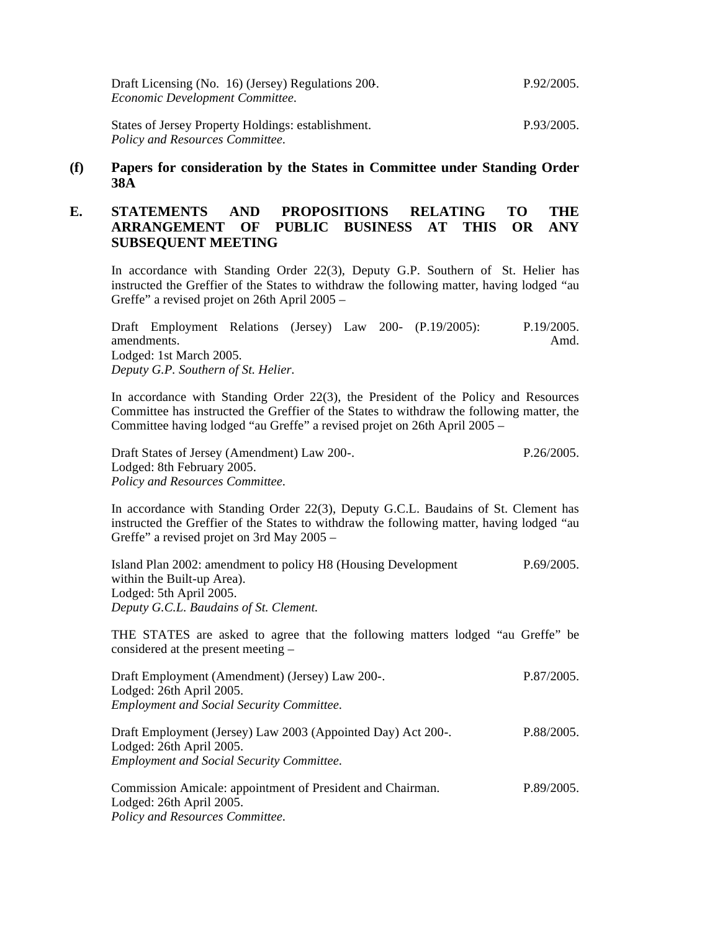| Draft Licensing (No. 16) (Jersey) Regulations 200.<br>Economic Development Committee. | P.92/2005. |
|---------------------------------------------------------------------------------------|------------|
| States of Jersey Property Holdings: establishment.                                    | P.93/2005. |

*Policy and Resources Committee.*

#### **(f) Papers for consideration by the States in Committee under Standing Order 38A**

## **E. STATEMENTS AND PROPOSITIONS RELATING TO THE ARRANGEMENT OF PUBLIC BUSINESS AT THIS OR ANY SUBSEQUENT MEETING**

In accordance with Standing Order 22(3), Deputy G.P. Southern of St. Helier has instructed the Greffier of the States to withdraw the following matter, having lodged "au Greffe" a revised projet on 26th April 2005 –

| Draft Employment Relations (Jersey) Law 200- (P.19/2005): |  |  | P.19/2005. |
|-----------------------------------------------------------|--|--|------------|
| amendments.                                               |  |  | Amd.       |
| Lodged: 1st March 2005.                                   |  |  |            |
| Deputy G.P. Southern of St. Helier.                       |  |  |            |

In accordance with Standing Order 22(3), the President of the Policy and Resources Committee has instructed the Greffier of the States to withdraw the following matter, the Committee having lodged "au Greffe" a revised projet on 26th April 2005 –

Draft States of Jersey (Amendment) Law 200-. Lodged: 8th February 2005. *Policy and Resources Committee.* P.26/2005.

In accordance with Standing Order 22(3), Deputy G.C.L. Baudains of St. Clement has instructed the Greffier of the States to withdraw the following matter, having lodged "au Greffe" a revised projet on 3rd May 2005 –

| Island Plan 2002: amendment to policy H8 (Housing Development | P.69/2005. |
|---------------------------------------------------------------|------------|
| within the Built-up Area).                                    |            |
| Lodged: 5th April 2005.                                       |            |
| Deputy G.C.L. Baudains of St. Clement.                        |            |
|                                                               |            |

THE STATES are asked to agree that the following matters lodged "au Greffe" be considered at the present meeting –

| Draft Employment (Amendment) (Jersey) Law 200-.              | P.87/2005. |
|--------------------------------------------------------------|------------|
| Lodged: 26th April 2005.                                     |            |
| <b>Employment and Social Security Committee.</b>             |            |
| Draft Employment (Jersey) Law 2003 (Appointed Day) Act 200-. | P.88/2005. |
| Lodged: 26th April 2005.                                     |            |
| <b>Employment and Social Security Committee.</b>             |            |
| Commission Amicale: appointment of President and Chairman.   | P.89/2005. |
| Lodged: 26th April 2005.                                     |            |

*Policy and Resources Committee.*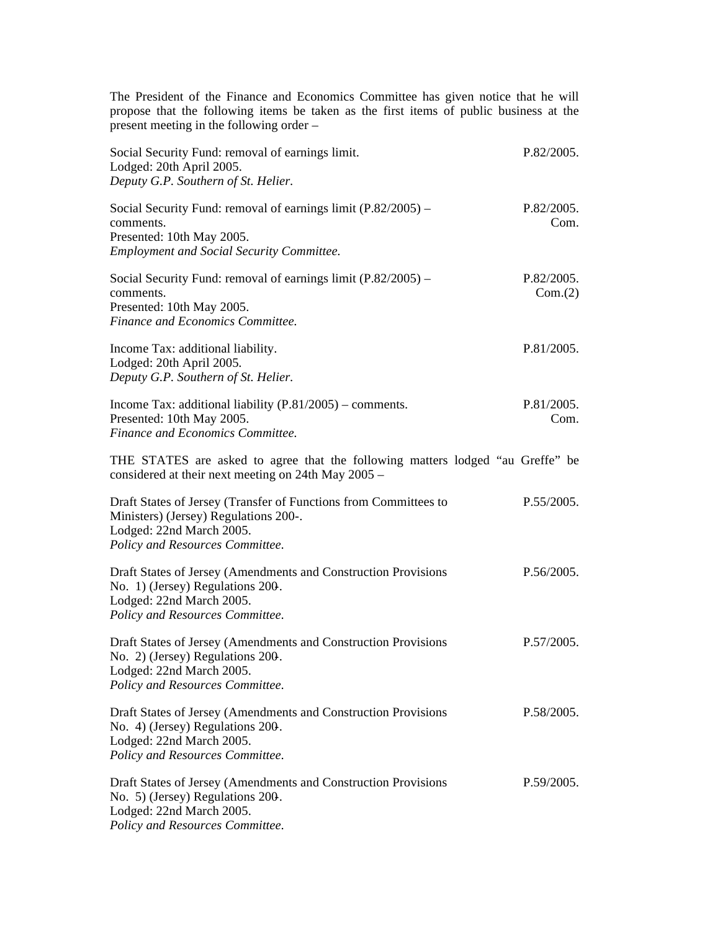The President of the Finance and Economics Committee has given notice that he will propose that the following items be taken as the first items of public business at the present meeting in the following order –

| Social Security Fund: removal of earnings limit.<br>Lodged: 20th April 2005.<br>Deputy G.P. Southern of St. Helier.                                                      | P.82/2005.            |
|--------------------------------------------------------------------------------------------------------------------------------------------------------------------------|-----------------------|
| Social Security Fund: removal of earnings limit $(P.82/2005)$ –<br>comments.<br>Presented: 10th May 2005.<br><b>Employment and Social Security Committee.</b>            | P.82/2005.<br>Com.    |
| Social Security Fund: removal of earnings limit $(P.82/2005)$ –<br>comments.<br>Presented: 10th May 2005.<br>Finance and Economics Committee.                            | P.82/2005.<br>Com.(2) |
| Income Tax: additional liability.<br>Lodged: 20th April 2005.<br>Deputy G.P. Southern of St. Helier.                                                                     | P.81/2005.            |
| Income Tax: additional liability $(P.81/2005)$ – comments.<br>Presented: 10th May 2005.<br>Finance and Economics Committee.                                              | P.81/2005.<br>Com.    |
| THE STATES are asked to agree that the following matters lodged "au Greffe" be<br>considered at their next meeting on 24th May 2005 –                                    |                       |
| Draft States of Jersey (Transfer of Functions from Committees to<br>Ministers) (Jersey) Regulations 200-.<br>Lodged: 22nd March 2005.<br>Policy and Resources Committee. | P.55/2005.            |
| Draft States of Jersey (Amendments and Construction Provisions<br>No. 1) (Jersey) Regulations 200.<br>Lodged: 22nd March 2005.<br>Policy and Resources Committee.        | P.56/2005.            |
| Draft States of Jersey (Amendments and Construction Provisions<br>No. 2) (Jersey) Regulations 200.<br>Lodged: 22nd March 2005.<br>Policy and Resources Committee.        | P.57/2005.            |
| Draft States of Jersey (Amendments and Construction Provisions<br>No. 4) (Jersey) Regulations 200.<br>Lodged: 22nd March 2005.<br>Policy and Resources Committee.        | P.58/2005.            |
| Draft States of Jersey (Amendments and Construction Provisions<br>No. 5) (Jersey) Regulations 200.<br>Lodged: 22nd March 2005.<br>Policy and Resources Committee.        | P.59/2005.            |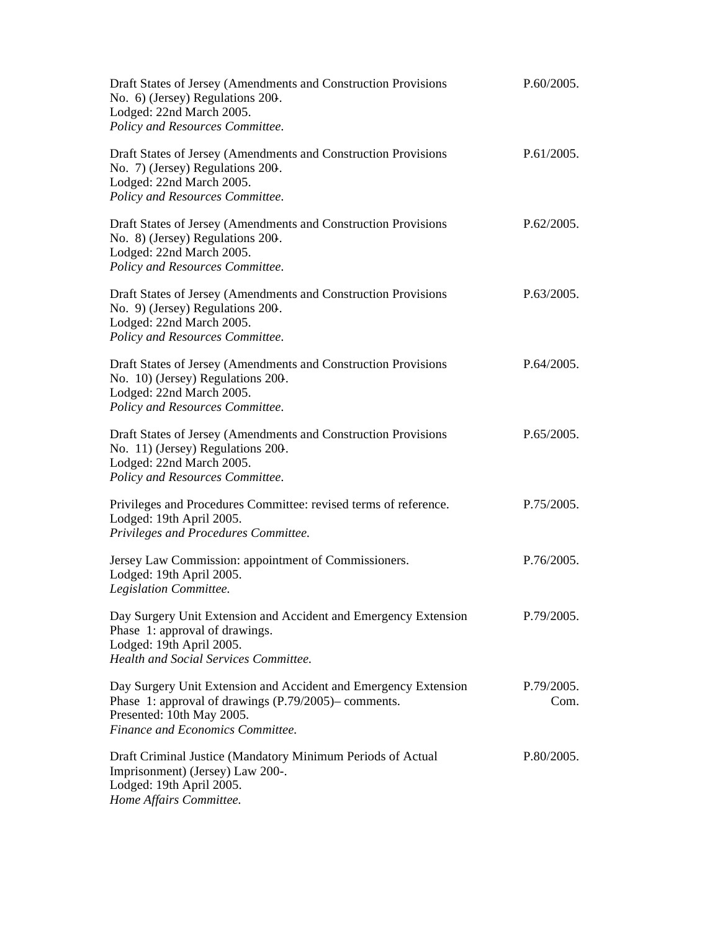| Draft States of Jersey (Amendments and Construction Provisions<br>No. 6) (Jersey) Regulations 200.<br>Lodged: 22nd March 2005.<br>Policy and Resources Committee.                        | P.60/2005.         |
|------------------------------------------------------------------------------------------------------------------------------------------------------------------------------------------|--------------------|
| Draft States of Jersey (Amendments and Construction Provisions<br>No. 7) (Jersey) Regulations 200.<br>Lodged: 22nd March 2005.<br>Policy and Resources Committee.                        | P.61/2005.         |
| Draft States of Jersey (Amendments and Construction Provisions<br>No. 8) (Jersey) Regulations 200.<br>Lodged: 22nd March 2005.<br>Policy and Resources Committee.                        | P.62/2005.         |
| Draft States of Jersey (Amendments and Construction Provisions<br>No. 9) (Jersey) Regulations 200.<br>Lodged: 22nd March 2005.<br>Policy and Resources Committee.                        | P.63/2005.         |
| Draft States of Jersey (Amendments and Construction Provisions<br>No. 10) (Jersey) Regulations 200.<br>Lodged: 22nd March 2005.<br>Policy and Resources Committee.                       | P.64/2005.         |
| Draft States of Jersey (Amendments and Construction Provisions<br>No. 11) (Jersey) Regulations 200.<br>Lodged: 22nd March 2005.<br>Policy and Resources Committee.                       | P.65/2005.         |
| Privileges and Procedures Committee: revised terms of reference.<br>Lodged: 19th April 2005.<br>Privileges and Procedures Committee.                                                     | P.75/2005.         |
| Jersey Law Commission: appointment of Commissioners.<br>Lodged: 19th April 2005.<br>Legislation Committee.                                                                               | P.76/2005.         |
| Day Surgery Unit Extension and Accident and Emergency Extension<br>Phase 1: approval of drawings.<br>Lodged: 19th April 2005.<br>Health and Social Services Committee.                   | P.79/2005.         |
| Day Surgery Unit Extension and Accident and Emergency Extension<br>Phase 1: approval of drawings (P.79/2005)– comments.<br>Presented: 10th May 2005.<br>Finance and Economics Committee. | P.79/2005.<br>Com. |
| Draft Criminal Justice (Mandatory Minimum Periods of Actual<br>Imprisonment) (Jersey) Law 200-.<br>Lodged: 19th April 2005.<br>Home Affairs Committee.                                   | P.80/2005.         |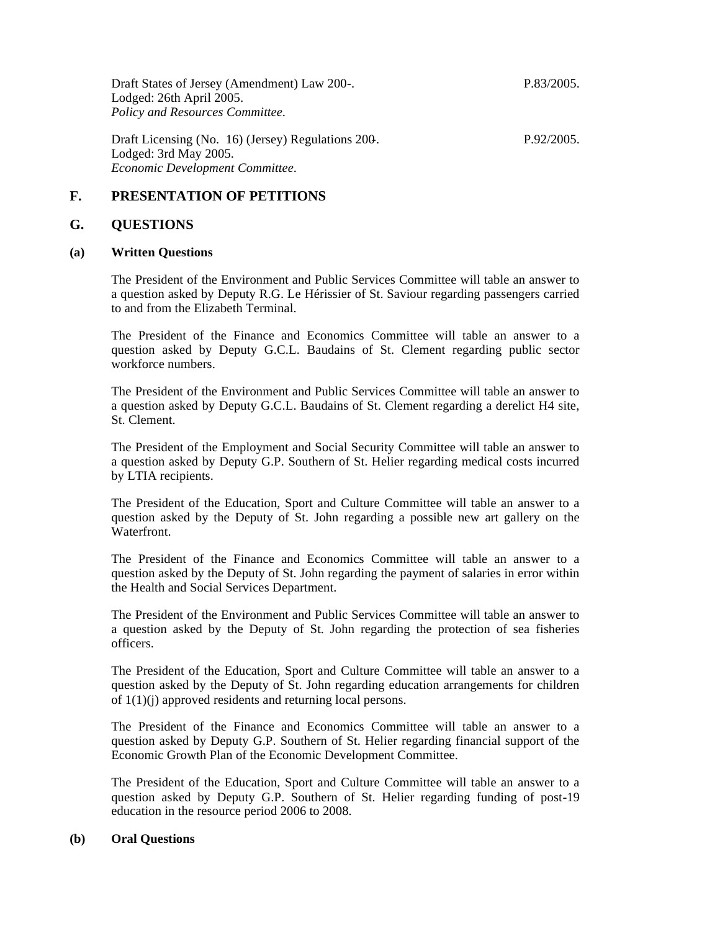Draft States of Jersey (Amendment) Law 200-. Lodged: 26th April 2005. *Policy and Resources Committee.*

P.83/2005.

Draft Licensing (No. 16) (Jersey) Regulations 200-. Lodged: 3rd May 2005. *Economic Development Committee.* P.92/2005.

### **F. PRESENTATION OF PETITIONS**

#### **G. QUESTIONS**

#### **(a) Written Questions**

The President of the Environment and Public Services Committee will table an answer to a question asked by Deputy R.G. Le Hérissier of St. Saviour regarding passengers carried to and from the Elizabeth Terminal.

The President of the Finance and Economics Committee will table an answer to a question asked by Deputy G.C.L. Baudains of St. Clement regarding public sector workforce numbers.

The President of the Environment and Public Services Committee will table an answer to a question asked by Deputy G.C.L. Baudains of St. Clement regarding a derelict H4 site, St. Clement.

The President of the Employment and Social Security Committee will table an answer to a question asked by Deputy G.P. Southern of St. Helier regarding medical costs incurred by LTIA recipients.

The President of the Education, Sport and Culture Committee will table an answer to a question asked by the Deputy of St. John regarding a possible new art gallery on the Waterfront.

The President of the Finance and Economics Committee will table an answer to a question asked by the Deputy of St. John regarding the payment of salaries in error within the Health and Social Services Department.

The President of the Environment and Public Services Committee will table an answer to a question asked by the Deputy of St. John regarding the protection of sea fisheries officers.

The President of the Education, Sport and Culture Committee will table an answer to a question asked by the Deputy of St. John regarding education arrangements for children of 1(1)(j) approved residents and returning local persons.

The President of the Finance and Economics Committee will table an answer to a question asked by Deputy G.P. Southern of St. Helier regarding financial support of the Economic Growth Plan of the Economic Development Committee.

The President of the Education, Sport and Culture Committee will table an answer to a question asked by Deputy G.P. Southern of St. Helier regarding funding of post-19 education in the resource period 2006 to 2008.

#### **(b) Oral Questions**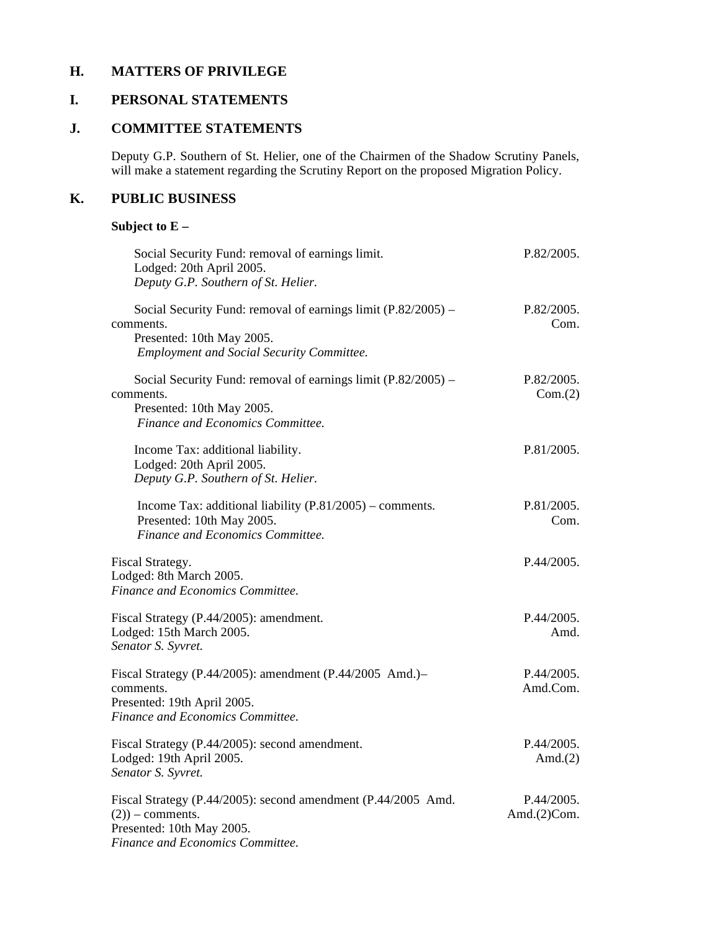## **H. MATTERS OF PRIVILEGE**

## **I. PERSONAL STATEMENTS**

## **J. COMMITTEE STATEMENTS**

Deputy G.P. Southern of St. Helier, one of the Chairmen of the Shadow Scrutiny Panels, will make a statement regarding the Scrutiny Report on the proposed Migration Policy.

## **K. PUBLIC BUSINESS**

## **Subject to E –**

| Social Security Fund: removal of earnings limit.<br>Lodged: 20th April 2005.<br>Deputy G.P. Southern of St. Helier.                                           | P.82/2005.                    |
|---------------------------------------------------------------------------------------------------------------------------------------------------------------|-------------------------------|
| Social Security Fund: removal of earnings limit $(P.82/2005)$ –<br>comments.<br>Presented: 10th May 2005.<br><b>Employment and Social Security Committee.</b> | P.82/2005.<br>Com.            |
| Social Security Fund: removal of earnings limit (P.82/2005) -<br>comments.<br>Presented: 10th May 2005.<br>Finance and Economics Committee.                   | P.82/2005.<br>Com.(2)         |
| Income Tax: additional liability.<br>Lodged: 20th April 2005.<br>Deputy G.P. Southern of St. Helier.                                                          | P.81/2005.                    |
| Income Tax: additional liability $(P.81/2005)$ – comments.<br>Presented: 10th May 2005.<br>Finance and Economics Committee.                                   | P.81/2005.<br>Com.            |
| Fiscal Strategy.<br>Lodged: 8th March 2005.<br>Finance and Economics Committee.                                                                               | P.44/2005.                    |
| Fiscal Strategy (P.44/2005): amendment.<br>Lodged: 15th March 2005.<br>Senator S. Syvret.                                                                     | P.44/2005.<br>Amd.            |
| Fiscal Strategy (P.44/2005): amendment (P.44/2005 Amd.)-<br>comments.<br>Presented: 19th April 2005.<br>Finance and Economics Committee.                      | P.44/2005.<br>Amd.Com.        |
| Fiscal Strategy (P.44/2005): second amendment.<br>Lodged: 19th April 2005.<br>Senator S. Syvret.                                                              | P.44/2005.<br>Amd. $(2)$      |
| Fiscal Strategy (P.44/2005): second amendment (P.44/2005 Amd.<br>$(2)$ ) – comments.<br>Presented: 10th May 2005.<br>Finance and Economics Committee.         | P.44/2005.<br>Amd. $(2)$ Com. |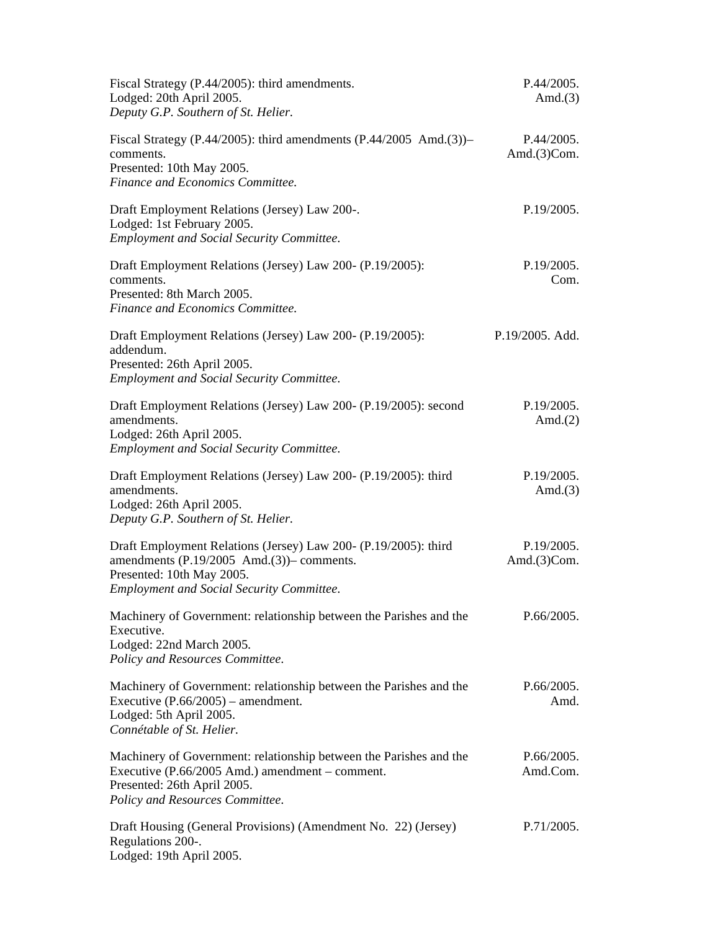| Fiscal Strategy (P.44/2005): third amendments.<br>Lodged: 20th April 2005.<br>Deputy G.P. Southern of St. Helier.                                                                             | P.44/2005.<br>Amd. $(3)$      |
|-----------------------------------------------------------------------------------------------------------------------------------------------------------------------------------------------|-------------------------------|
| Fiscal Strategy (P.44/2005): third amendments $(P.44/2005 \text{ And.}(3))$ -<br>comments.<br>Presented: 10th May 2005.<br>Finance and Economics Committee.                                   | P.44/2005.<br>Amd. $(3)$ Com. |
| Draft Employment Relations (Jersey) Law 200-.<br>Lodged: 1st February 2005.<br><b>Employment and Social Security Committee.</b>                                                               | P.19/2005.                    |
| Draft Employment Relations (Jersey) Law 200- (P.19/2005):<br>comments.<br>Presented: 8th March 2005.<br>Finance and Economics Committee.                                                      | P.19/2005.<br>Com.            |
| Draft Employment Relations (Jersey) Law 200- (P.19/2005):<br>addendum.<br>Presented: 26th April 2005.<br><b>Employment and Social Security Committee.</b>                                     | P.19/2005. Add.               |
| Draft Employment Relations (Jersey) Law 200- (P.19/2005): second<br>amendments.<br>Lodged: 26th April 2005.<br><b>Employment and Social Security Committee.</b>                               | P.19/2005.<br>Amd. $(2)$      |
| Draft Employment Relations (Jersey) Law 200- (P.19/2005): third<br>amendments.<br>Lodged: 26th April 2005.<br>Deputy G.P. Southern of St. Helier.                                             | P.19/2005.<br>Amd. $(3)$      |
| Draft Employment Relations (Jersey) Law 200- (P.19/2005): third<br>amendments (P.19/2005 Amd.(3))- comments.<br>Presented: 10th May 2005.<br><b>Employment and Social Security Committee.</b> | P.19/2005.<br>Amd. $(3)$ Com. |
| Machinery of Government: relationship between the Parishes and the<br>Executive.<br>Lodged: 22nd March 2005.<br>Policy and Resources Committee.                                               | P.66/2005.                    |
| Machinery of Government: relationship between the Parishes and the<br>Executive $(P.66/2005)$ – amendment.<br>Lodged: 5th April 2005.<br>Connétable of St. Helier.                            | P.66/2005.<br>Amd.            |
| Machinery of Government: relationship between the Parishes and the<br>Executive (P.66/2005 Amd.) amendment – comment.<br>Presented: 26th April 2005.<br>Policy and Resources Committee.       | P.66/2005.<br>Amd.Com.        |
| Draft Housing (General Provisions) (Amendment No. 22) (Jersey)<br>Regulations 200-.<br>Lodged: 19th April 2005.                                                                               | P.71/2005.                    |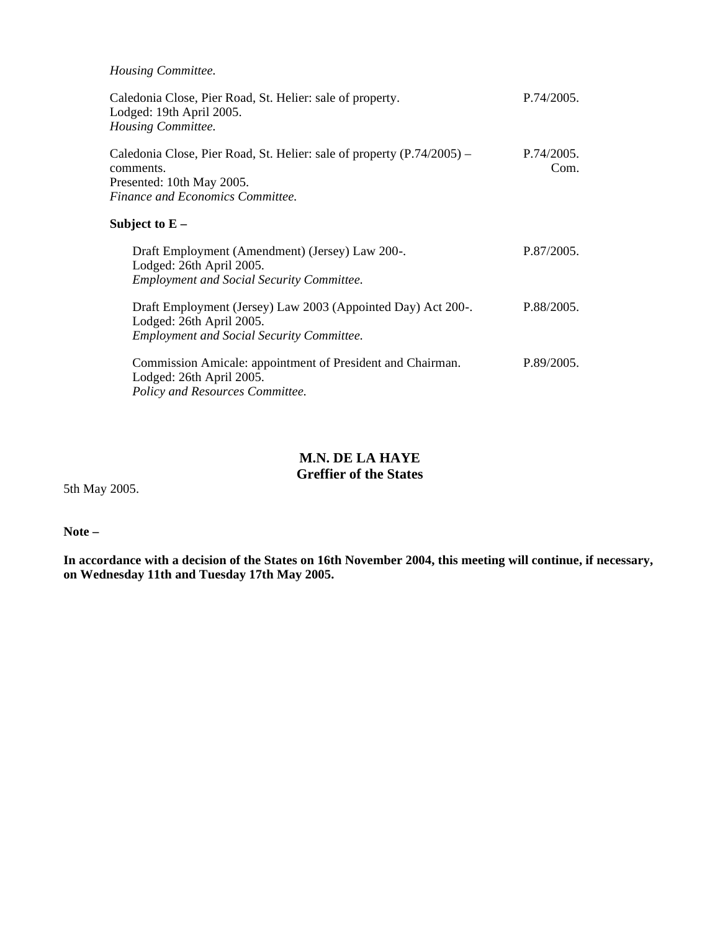*Housing Committee.*

| Caledonia Close, Pier Road, St. Helier: sale of property.<br>Lodged: 19th April 2005.<br>Housing Committee.                                          | P.74/2005.         |
|------------------------------------------------------------------------------------------------------------------------------------------------------|--------------------|
| Caledonia Close, Pier Road, St. Helier: sale of property (P.74/2005) –<br>comments.<br>Presented: 10th May 2005.<br>Finance and Economics Committee. | P.74/2005.<br>Com. |
| Subject to ${\rm E}$ –                                                                                                                               |                    |
| Draft Employment (Amendment) (Jersey) Law 200-.<br>Lodged: 26th April 2005.<br><b>Employment and Social Security Committee.</b>                      | P.87/2005.         |
| Draft Employment (Jersey) Law 2003 (Appointed Day) Act 200-.<br>Lodged: 26th April 2005.<br><b>Employment and Social Security Committee.</b>         | P.88/2005.         |
| Commission Amicale: appointment of President and Chairman.<br>Lodged: 26th April 2005.<br>Policy and Resources Committee.                            | P.89/2005.         |

## **M.N. DE LA HAYE Greffier of the States**

5th May 2005.

**Note –**

**In accordance with a decision of the States on 16th November 2004, this meeting will continue, if necessary, on Wednesday 11th and Tuesday 17th May 2005.**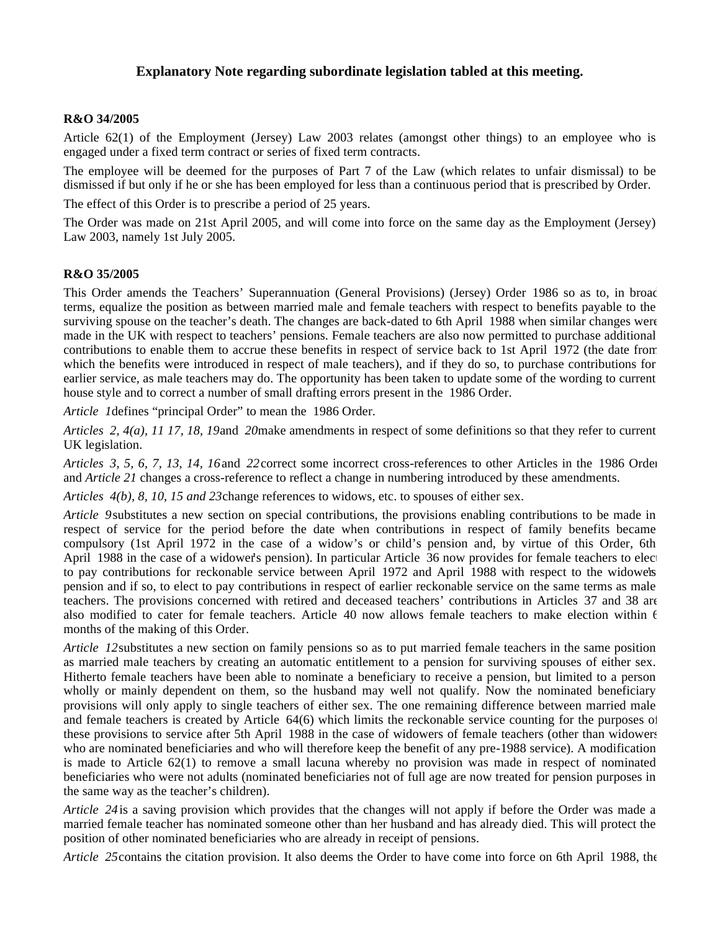### **Explanatory Note regarding subordinate legislation tabled at this meeting.**

#### **R&O 34/2005**

Article 62(1) of the Employment (Jersey) Law 2003 relates (amongst other things) to an employee who is engaged under a fixed term contract or series of fixed term contracts.

The employee will be deemed for the purposes of Part 7 of the Law (which relates to unfair dismissal) to be dismissed if but only if he or she has been employed for less than a continuous period that is prescribed by Order.

The effect of this Order is to prescribe a period of 25 years.

The Order was made on 21st April 2005, and will come into force on the same day as the Employment (Jersey) Law 2003, namely 1st July 2005.

#### **R&O 35/2005**

This Order amends the Teachers' Superannuation (General Provisions) (Jersey) Order 1986 so as to, in broad terms, equalize the position as between married male and female teachers with respect to benefits payable to the surviving spouse on the teacher's death. The changes are back-dated to 6th April 1988 when similar changes were made in the UK with respect to teachers' pensions. Female teachers are also now permitted to purchase additional contributions to enable them to accrue these benefits in respect of service back to 1st April 1972 (the date from which the benefits were introduced in respect of male teachers), and if they do so, to purchase contributions for earlier service, as male teachers may do. The opportunity has been taken to update some of the wording to current house style and to correct a number of small drafting errors present in the 1986 Order.

*Article 1*defines "principal Order" to mean the 1986 Order.

*Articles 2, 4(a), 11 17, 18, 19*and *20* make amendments in respect of some definitions so that they refer to current UK legislation.

*Articles 3, 5, 6, 7, 13, 14, 16*and *22* correct some incorrect cross-references to other Articles in the 1986 Order and *Article 21* changes a cross-reference to reflect a change in numbering introduced by these amendments.

*Articles 4(b), 8, 10, 15 and 23*change references to widows, etc. to spouses of either sex.

*Article 9* substitutes a new section on special contributions, the provisions enabling contributions to be made in respect of service for the period before the date when contributions in respect of family benefits became compulsory (1st April 1972 in the case of a widow's or child's pension and, by virtue of this Order, 6th April 1988 in the case of a widower's pension). In particular Article 36 now provides for female teachers to elected to pay contributions for reckonable service between April 1972 and April 1988 with respect to the widowers pension and if so, to elect to pay contributions in respect of earlier reckonable service on the same terms as male teachers. The provisions concerned with retired and deceased teachers' contributions in Articles 37 and 38 are also modified to cater for female teachers. Article 40 now allows female teachers to make election within  $\epsilon$ months of the making of this Order.

*Article 12* substitutes a new section on family pensions so as to put married female teachers in the same position as married male teachers by creating an automatic entitlement to a pension for surviving spouses of either sex. Hitherto female teachers have been able to nominate a beneficiary to receive a pension, but limited to a person wholly or mainly dependent on them, so the husband may well not qualify. Now the nominated beneficiary provisions will only apply to single teachers of either sex. The one remaining difference between married male and female teachers is created by Article 64(6) which limits the reckonable service counting for the purposes of these provisions to service after 5th April 1988 in the case of widowers of female teachers (other than widowers who are nominated beneficiaries and who will therefore keep the benefit of any pre-1988 service). A modification is made to Article 62(1) to remove a small lacuna whereby no provision was made in respect of nominated beneficiaries who were not adults (nominated beneficiaries not of full age are now treated for pension purposes in the same way as the teacher's children).

*Article 24*is a saving provision which provides that the changes will not apply if before the Order was made a married female teacher has nominated someone other than her husband and has already died. This will protect the position of other nominated beneficiaries who are already in receipt of pensions.

*Article 25* contains the citation provision. It also deems the Order to have come into force on 6th April 1988, the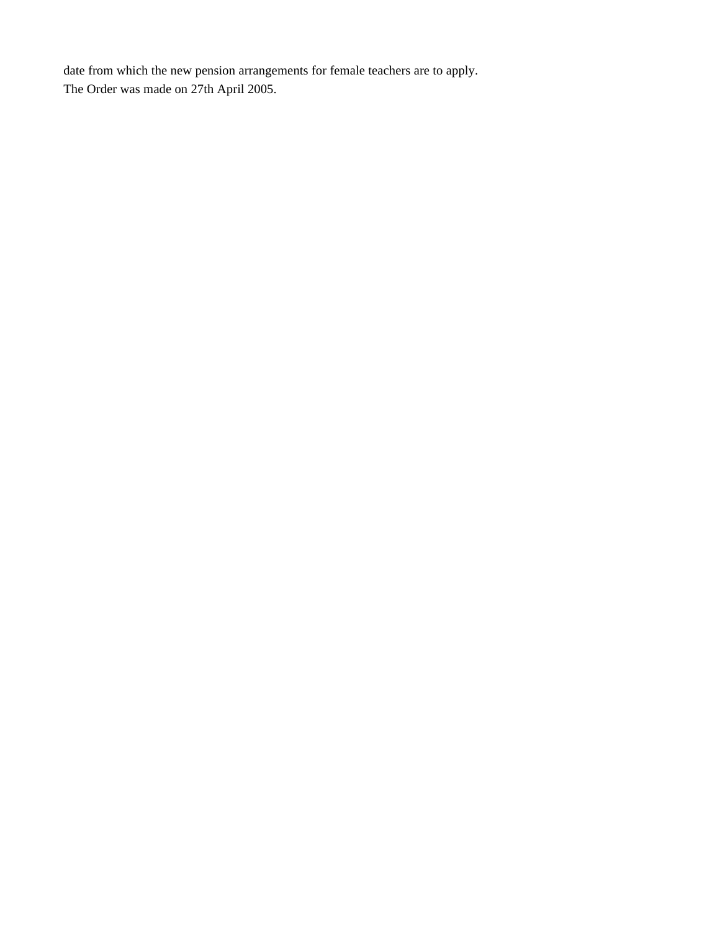date from which the new pension arrangements for female teachers are to apply. The Order was made on 27th April 2005.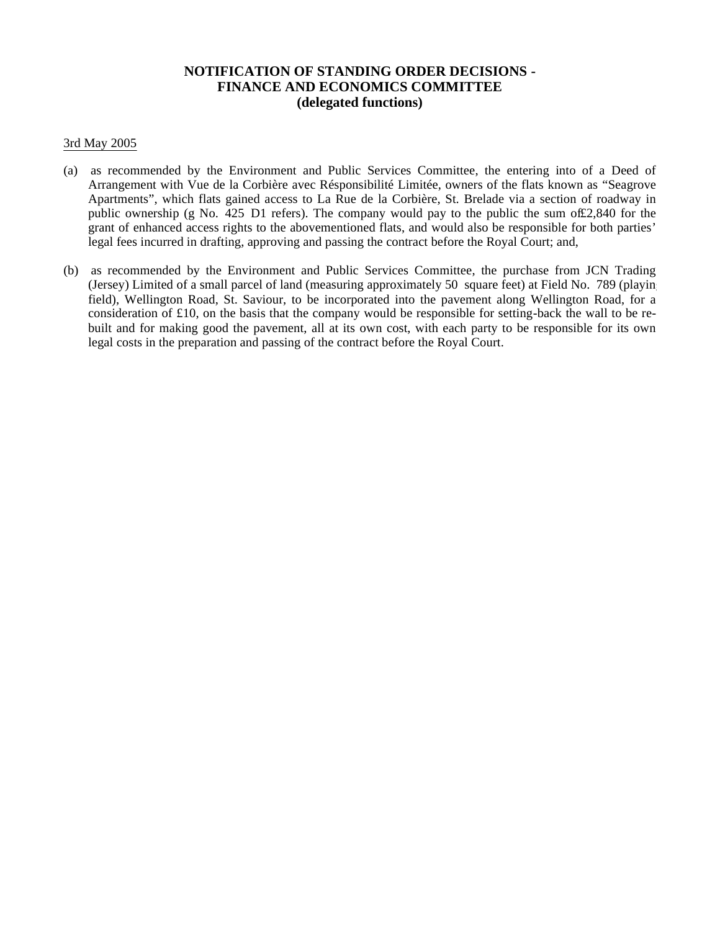### **NOTIFICATION OF STANDING ORDER DECISIONS - FINANCE AND ECONOMICS COMMITTEE (delegated functions)**

#### 3rd May 2005

- (a) as recommended by the Environment and Public Services Committee, the entering into of a Deed of Arrangement with Vue de la Corbière avec Résponsibilité Limitée, owners of the flats known as "Seagrove Apartments", which flats gained access to La Rue de la Corbière, St. Brelade via a section of roadway in public ownership (g No. 425 D1 refers). The company would pay to the public the sum of£2,840 for the grant of enhanced access rights to the abovementioned flats, and would also be responsible for both parties' legal fees incurred in drafting, approving and passing the contract before the Royal Court; and,
- (b) as recommended by the Environment and Public Services Committee, the purchase from JCN Trading (Jersey) Limited of a small parcel of land (measuring approximately 50 square feet) at Field No. 789 (playing) field), Wellington Road, St. Saviour, to be incorporated into the pavement along Wellington Road, for a consideration of  $\pounds 10$ , on the basis that the company would be responsible for setting-back the wall to be rebuilt and for making good the pavement, all at its own cost, with each party to be responsible for its own legal costs in the preparation and passing of the contract before the Royal Court.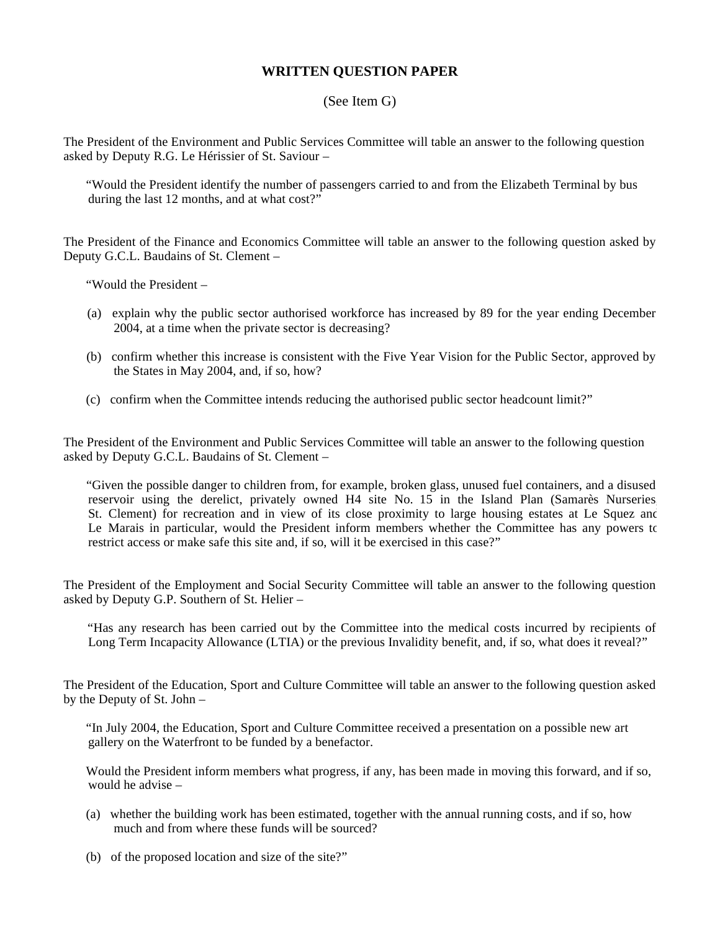## **WRITTEN QUESTION PAPER**

#### (See Item G)

The President of the Environment and Public Services Committee will table an answer to the following question asked by Deputy R.G. Le Hérissier of St. Saviour –

 "Would the President identify the number of passengers carried to and from the Elizabeth Terminal by bus during the last 12 months, and at what cost?"

The President of the Finance and Economics Committee will table an answer to the following question asked by Deputy G.C.L. Baudains of St. Clement –

"Would the President –

- (a) explain why the public sector authorised workforce has increased by 89 for the year ending December 2004, at a time when the private sector is decreasing?
- (b) confirm whether this increase is consistent with the Five Year Vision for the Public Sector, approved by the States in May 2004, and, if so, how?
- (c) confirm when the Committee intends reducing the authorised public sector headcount limit?"

The President of the Environment and Public Services Committee will table an answer to the following question asked by Deputy G.C.L. Baudains of St. Clement –

 "Given the possible danger to children from, for example, broken glass, unused fuel containers, and a disused reservoir using the derelict, privately owned H4 site No. 15 in the Island Plan (Samarès Nurseries St. Clement) for recreation and in view of its close proximity to large housing estates at Le Squez and Le Marais in particular, would the President inform members whether the Committee has any powers to restrict access or make safe this site and, if so, will it be exercised in this case?"

The President of the Employment and Social Security Committee will table an answer to the following question asked by Deputy G.P. Southern of St. Helier –

 "Has any research has been carried out by the Committee into the medical costs incurred by recipients of Long Term Incapacity Allowance (LTIA) or the previous Invalidity benefit, and, if so, what does it reveal?"

The President of the Education, Sport and Culture Committee will table an answer to the following question asked by the Deputy of St. John –

 "In July 2004, the Education, Sport and Culture Committee received a presentation on a possible new art gallery on the Waterfront to be funded by a benefactor.

 Would the President inform members what progress, if any, has been made in moving this forward, and if so, would he advise –

- (a) whether the building work has been estimated, together with the annual running costs, and if so, how much and from where these funds will be sourced?
- (b) of the proposed location and size of the site?"